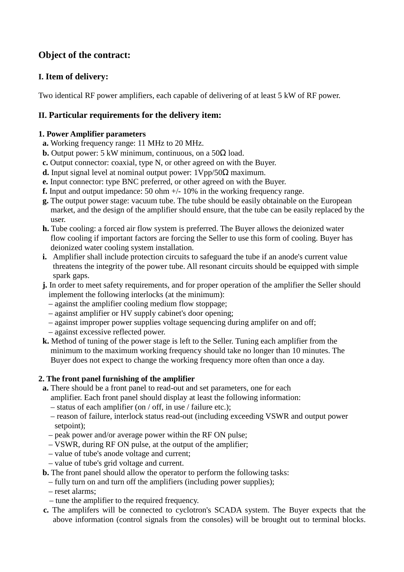# **Object of the contract:**

## **I. Item of delivery:**

Two identical RF power amplifiers, each capable of delivering of at least 5 kW of RF power.

### **II. Particular requirements for the delivery item:**

#### **1. Power Amplifier parameters**

- **a.** Working frequency range: 11 MHz to 20 MHz.
- **b.** Output power: 5 kW minimum, continuous, on a  $50\Omega$  load.
- **c.** Output connector: coaxial, type N, or other agreed on with the Buyer.
- **d.** Input signal level at nominal output power: 1Vpp/50Ω maximum.
- **e.** Input connector: type BNC preferred, or other agreed on with the Buyer.
- **f.** Input and output impedance: 50 ohm +/- 10% in the working frequency range.
- **g.** The output power stage: vacuum tube. The tube should be easily obtainable on the European market, and the design of the amplifier should ensure, that the tube can be easily replaced by the user.
- **h.** Tube cooling: a forced air flow system is preferred. The Buyer allows the deionized water flow cooling if important factors are forcing the Seller to use this form of cooling. Buyer has deionized water cooling system installation.
- **i.** Amplifier shall include protection circuits to safeguard the tube if an anode's current value threatens the integrity of the power tube. All resonant circuits should be equipped with simple spark gaps.
- **j.** In order to meet safety requirements, and for proper operation of the amplifier the Seller should implement the following interlocks (at the minimum):
	- against the amplifier cooling medium flow stoppage;
	- against amplifier or HV supply cabinet's door opening;
	- against improper power supplies voltage sequencing during amplifer on and off;
	- against excessive reflected power.
- **k.** Method of tuning of the power stage is left to the Seller. Tuning each amplifier from the minimum to the maximum working frequency should take no longer than 10 minutes. The Buyer does not expect to change the working frequency more often than once a day.

#### **2. The front panel furnishing of the amplifier**

**a.** There should be a front panel to read-out and set parameters, one for each

amplifier. Each front panel should display at least the following information:

- status of each amplifier (on / off, in use / failure etc.);
- reason of failure, interlock status read-out (including exceeding VSWR and output power setpoint);
- peak power and/or average power within the RF ON pulse;
- VSWR, during RF ON pulse, at the output of the amplifier;
- value of tube's anode voltage and current;
- value of tube's grid voltage and current.
- **b.** The front panel should allow the operator to perform the following tasks:
	- fully turn on and turn off the amplifiers (including power supplies);
	- reset alarms;
	- tune the amplifier to the required frequency.
- **c.** The amplifers will be connected to cyclotron's SCADA system. The Buyer expects that the above information (control signals from the consoles) will be brought out to terminal blocks.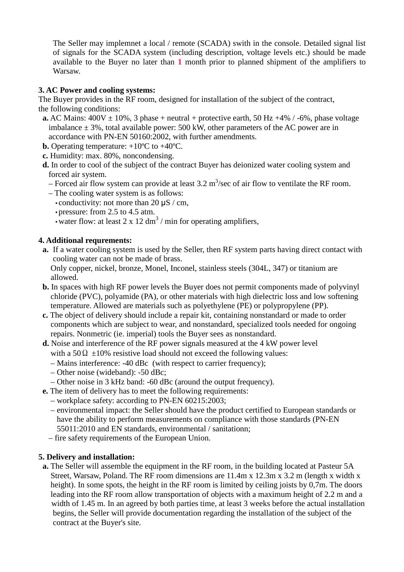The Seller may implemnet a local / remote (SCADA) swith in the console. Detailed signal list of signals for the SCADA system (including description, voltage levels etc.) should be made available to the Buyer no later than **1** month prior to planned shipment of the amplifiers to Warsaw.

### **3. AC Power and cooling systems:**

The Buyer provides in the RF room, designed for installation of the subject of the contract, the following conditions:

- **a.** AC Mains:  $400V \pm 10\%$ , 3 phase + neutral + protective earth, 50 Hz +4% / -6%, phase voltage imbalance  $\pm$  3%, total available power: 500 kW, other parameters of the AC power are in accordance with PN-EN 50160:2002, with further amendments.
- **b.** Operating temperature:  $+10^{\circ}$ C to  $+40^{\circ}$ C.
- **c.** Humidity: max. 80%, noncondensing.
- **d.** In order to cool of the subject of the contract Buyer has deionized water cooling system and forced air system.
- Forced air flow system can provide at least  $3.2 \text{ m}^3/\text{sec}$  of air flow to ventilate the RF room.
	- The cooling water system is as follows:
		- conductivity: not more than 20  $\mu$ S / cm,
		- pressure: from 2.5 to 4.5 atm.
- water flow: at least  $2 \times 12 \text{ dm}^3$  / min for operating amplifiers,

#### **4. Additional requrements:**

 **a.** If a water cooling system is used by the Seller, then RF system parts having direct contact with cooling water can not be made of brass.

 Only copper, nickel, bronze, Monel, Inconel, stainless steels (304L, 347) or titanium are allowed.

- **b.** In spaces with high RF power levels the Buyer does not permit components made of polyvinyl chloride (PVC), polyamide (PA), or other materials with high dielectric loss and low softening temperature. Allowed are materials such as polyethylene (PE) or polypropylene (PP).
- **c.** The object of delivery should include a repair kit, containing nonstandard or made to order components which are subject to wear, and nonstandard, specialized tools needed for ongoing repairs. Nonmetric (ie. imperial) tools the Buyer sees as nonstandard.
- **d.** Noise and interference of the RF power signals measured at the 4 kW power level with a 50  $\Omega$  ±10% resistive load should not exceed the following values:
	- Mains interference: -40 dBc (with respect to carrier frequency);
	- Other noise (wideband): -50 dBc;
	- Other noise in 3 kHz band: -60 dBc (around the output frequency).
- **e.** The item of delivery has to meet the following requirements:
	- workplace safety: according to PN-EN 60215:2003;
	- environmental impact: the Seller should have the product certified to European standards or have the ability to perform measurements on compliance with those standards (PN-EN 55011:2010 and EN standards, environmental / sanitationn;
	- fire safety requirements of the European Union.

#### **5. Delivery and installation:**

 **a.** The Seller will assemble the equipment in the RF room, in the building located at Pasteur 5A Street, Warsaw, Poland. The RF room dimensions are 11.4m x 12.3m x 3.2 m (length x width x height). In some spots, the height in the RF room is limited by ceiling joists by 0,7m. The doors leading into the RF room allow transportation of objects with a maximum height of 2.2 m and a width of 1.45 m. In an agreed by both parties time, at least 3 weeks before the actual installation begins, the Seller will provide documentation regarding the installation of the subject of the contract at the Buyer's site.